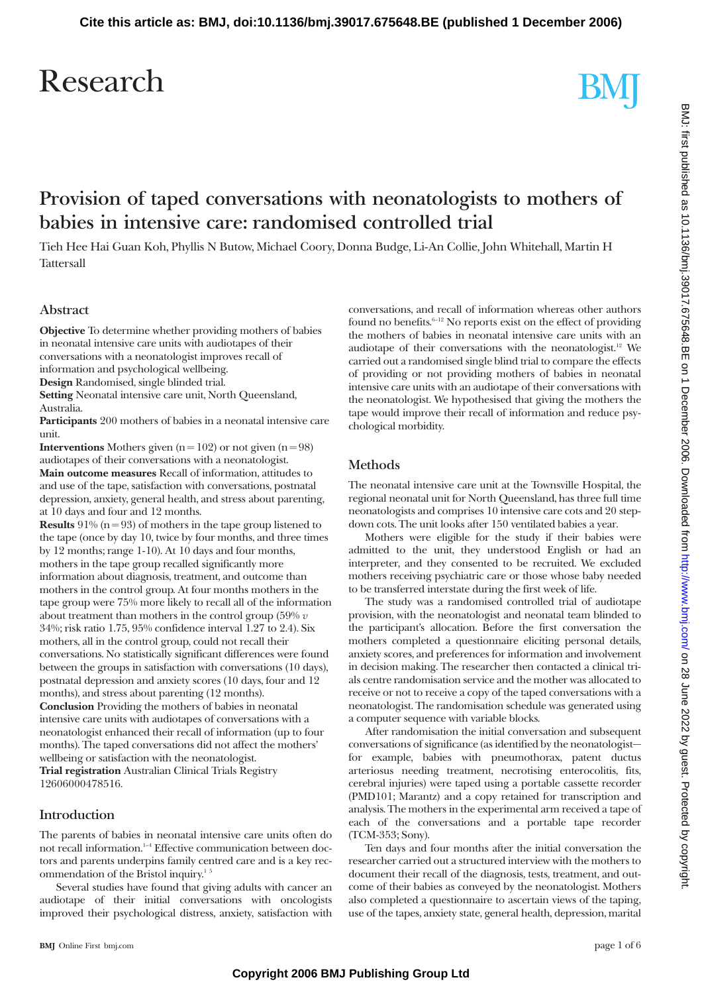## Research

# BMJ

### **Provision of taped conversations with neonatologists to mothers of babies in intensive care: randomised controlled trial**

Tieh Hee Hai Guan Koh, Phyllis N Butow, Michael Coory, Donna Budge, Li-An Collie, John Whitehall, Martin H **Tattersall** 

#### **Abstract**

**Objective** To determine whether providing mothers of babies in neonatal intensive care units with audiotapes of their conversations with a neonatologist improves recall of information and psychological wellbeing.

**Design** Randomised, single blinded trial.

**Setting** Neonatal intensive care unit, North Queensland, Australia.

**Participants** 200 mothers of babies in a neonatal intensive care unit.

**Interventions** Mothers given  $(n = 102)$  or not given  $(n = 98)$ audiotapes of their conversations with a neonatologist. **Main outcome measures** Recall of information, attitudes to and use of the tape, satisfaction with conversations, postnatal depression, anxiety, general health, and stress about parenting, at 10 days and four and 12 months.

**Results** 91% ( $n = 93$ ) of mothers in the tape group listened to the tape (once by day 10, twice by four months, and three times by 12 months; range 1-10). At 10 days and four months, mothers in the tape group recalled significantly more information about diagnosis, treatment, and outcome than mothers in the control group. At four months mothers in the tape group were 75% more likely to recall all of the information about treatment than mothers in the control group (59% *v* 34%; risk ratio 1.75, 95% confidence interval 1.27 to 2.4). Six mothers, all in the control group, could not recall their conversations. No statistically significant differences were found between the groups in satisfaction with conversations (10 days), postnatal depression and anxiety scores (10 days, four and 12 months), and stress about parenting (12 months). **Conclusion** Providing the mothers of babies in neonatal

intensive care units with audiotapes of conversations with a neonatologist enhanced their recall of information (up to four months). The taped conversations did not affect the mothers' wellbeing or satisfaction with the neonatologist. **Trial registration** Australian Clinical Trials Registry

12606000478516.

#### **Introduction**

The parents of babies in neonatal intensive care units often do not recall information.<sup>1-4</sup> Effective communication between doctors and parents underpins family centred care and is a key recommendation of the Bristol inquiry.<sup>15</sup>

Several studies have found that giving adults with cancer an audiotape of their initial conversations with oncologists improved their psychological distress, anxiety, satisfaction with conversations, and recall of information whereas other authors found no benefits. $6-12$  No reports exist on the effect of providing the mothers of babies in neonatal intensive care units with an audiotape of their conversations with the neonatologist.<sup>12</sup> We carried out a randomised single blind trial to compare the effects of providing or not providing mothers of babies in neonatal intensive care units with an audiotape of their conversations with the neonatologist. We hypothesised that giving the mothers the tape would improve their recall of information and reduce psychological morbidity.

#### **Methods**

The neonatal intensive care unit at the Townsville Hospital, the regional neonatal unit for North Queensland, has three full time neonatologists and comprises 10 intensive care cots and 20 stepdown cots. The unit looks after 150 ventilated babies a year.

Mothers were eligible for the study if their babies were admitted to the unit, they understood English or had an interpreter, and they consented to be recruited. We excluded mothers receiving psychiatric care or those whose baby needed to be transferred interstate during the first week of life.

The study was a randomised controlled trial of audiotape provision, with the neonatologist and neonatal team blinded to the participant's allocation. Before the first conversation the mothers completed a questionnaire eliciting personal details, anxiety scores, and preferences for information and involvement in decision making. The researcher then contacted a clinical trials centre randomisation service and the mother was allocated to receive or not to receive a copy of the taped conversations with a neonatologist. The randomisation schedule was generated using a computer sequence with variable blocks.

After randomisation the initial conversation and subsequent conversations of significance (as identified by the neonatologist for example, babies with pneumothorax, patent ductus arteriosus needing treatment, necrotising enterocolitis, fits, cerebral injuries) were taped using a portable cassette recorder (PMD101; Marantz) and a copy retained for transcription and analysis. The mothers in the experimental arm received a tape of each of the conversations and a portable tape recorder (TCM-353; Sony).

Ten days and four months after the initial conversation the researcher carried out a structured interview with the mothers to document their recall of the diagnosis, tests, treatment, and outcome of their babies as conveyed by the neonatologist. Mothers also completed a questionnaire to ascertain views of the taping, use of the tapes, anxiety state, general health, depression, marital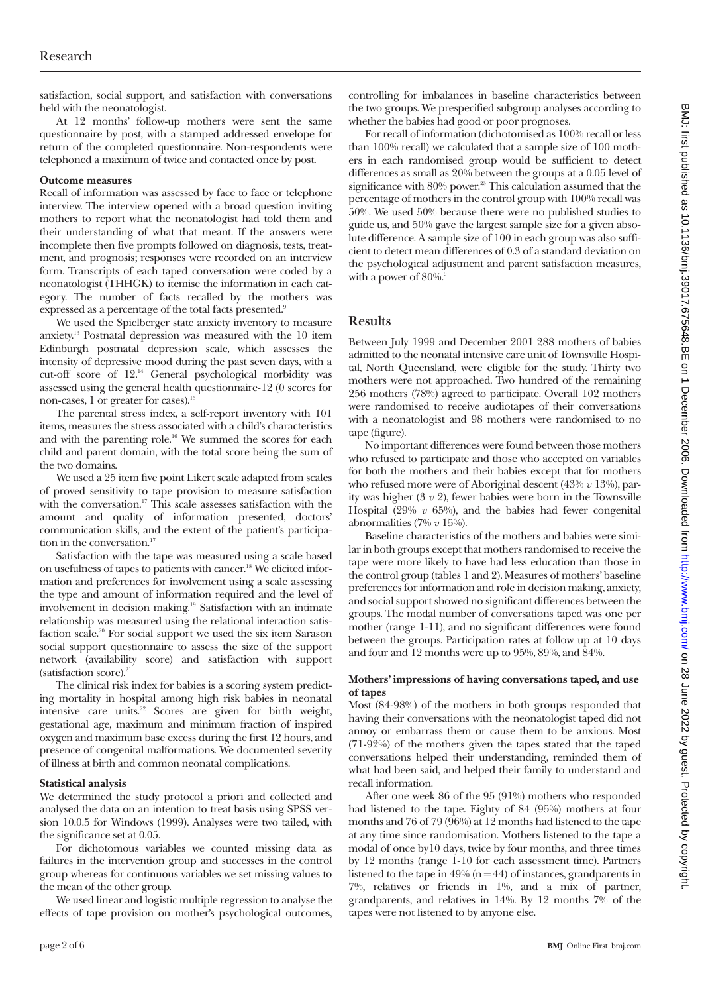satisfaction, social support, and satisfaction with conversations held with the neonatologist.

At 12 months' follow-up mothers were sent the same questionnaire by post, with a stamped addressed envelope for return of the completed questionnaire. Non-respondents were telephoned a maximum of twice and contacted once by post.

#### **Outcome measures**

Recall of information was assessed by face to face or telephone interview. The interview opened with a broad question inviting mothers to report what the neonatologist had told them and their understanding of what that meant. If the answers were incomplete then five prompts followed on diagnosis, tests, treatment, and prognosis; responses were recorded on an interview form. Transcripts of each taped conversation were coded by a neonatologist (THHGK) to itemise the information in each category. The number of facts recalled by the mothers was expressed as a percentage of the total facts presented.<sup>9</sup>

We used the Spielberger state anxiety inventory to measure anxiety.13 Postnatal depression was measured with the 10 item Edinburgh postnatal depression scale, which assesses the intensity of depressive mood during the past seven days, with a cut-off score of 12.14 General psychological morbidity was assessed using the general health questionnaire-12 (0 scores for non-cases, 1 or greater for cases).<sup>15</sup>

The parental stress index, a self-report inventory with 101 items, measures the stress associated with a child's characteristics and with the parenting role.<sup>16</sup> We summed the scores for each child and parent domain, with the total score being the sum of the two domains.

We used a 25 item five point Likert scale adapted from scales of proved sensitivity to tape provision to measure satisfaction with the conversation.<sup>17</sup> This scale assesses satisfaction with the amount and quality of information presented, doctors' communication skills, and the extent of the patient's participation in the conversation.<sup>17</sup>

Satisfaction with the tape was measured using a scale based on usefulness of tapes to patients with cancer.18 We elicited information and preferences for involvement using a scale assessing the type and amount of information required and the level of involvement in decision making.19 Satisfaction with an intimate relationship was measured using the relational interaction satisfaction scale.<sup>20</sup> For social support we used the six item Sarason social support questionnaire to assess the size of the support network (availability score) and satisfaction with support (satisfaction score). $21$ 

The clinical risk index for babies is a scoring system predicting mortality in hospital among high risk babies in neonatal intensive care units.<sup>22</sup> Scores are given for birth weight, gestational age, maximum and minimum fraction of inspired oxygen and maximum base excess during the first 12 hours, and presence of congenital malformations. We documented severity of illness at birth and common neonatal complications.

#### **Statistical analysis**

We determined the study protocol a priori and collected and analysed the data on an intention to treat basis using SPSS version 10.0.5 for Windows (1999). Analyses were two tailed, with the significance set at 0.05.

For dichotomous variables we counted missing data as failures in the intervention group and successes in the control group whereas for continuous variables we set missing values to the mean of the other group.

We used linear and logistic multiple regression to analyse the effects of tape provision on mother's psychological outcomes, controlling for imbalances in baseline characteristics between the two groups. We prespecified subgroup analyses according to whether the babies had good or poor prognoses.

For recall of information (dichotomised as 100% recall or less than 100% recall) we calculated that a sample size of 100 mothers in each randomised group would be sufficient to detect differences as small as 20% between the groups at a 0.05 level of significance with 80% power.<sup>23</sup> This calculation assumed that the percentage of mothers in the control group with 100% recall was 50%. We used 50% because there were no published studies to guide us, and 50% gave the largest sample size for a given absolute difference. A sample size of 100 in each group was also sufficient to detect mean differences of 0.3 of a standard deviation on the psychological adjustment and parent satisfaction measures, with a power of  $80\%$ .<sup>9</sup>

#### **Results**

Between July 1999 and December 2001 288 mothers of babies admitted to the neonatal intensive care unit of Townsville Hospital, North Queensland, were eligible for the study. Thirty two mothers were not approached. Two hundred of the remaining 256 mothers (78%) agreed to participate. Overall 102 mothers were randomised to receive audiotapes of their conversations with a neonatologist and 98 mothers were randomised to no tape (figure).

No important differences were found between those mothers who refused to participate and those who accepted on variables for both the mothers and their babies except that for mothers who refused more were of Aboriginal descent (43% *v* 13%), parity was higher (3 *v* 2), fewer babies were born in the Townsville Hospital (29% *v* 65%), and the babies had fewer congenital abnormalities (7% *v* 15%).

Baseline characteristics of the mothers and babies were similar in both groups except that mothers randomised to receive the tape were more likely to have had less education than those in the control group (tables 1 and 2). Measures of mothers' baseline preferences for information and role in decision making, anxiety, and social support showed no significant differences between the groups. The modal number of conversations taped was one per mother (range 1-11), and no significant differences were found between the groups. Participation rates at follow up at 10 days and four and 12 months were up to 95%, 89%, and 84%.

#### **Mothers' impressions ofhaving conversations taped, and use** of tapes

Most (84-98%) of the mothers in both groups responded that having their conversations with the neonatologist taped did not annoy or embarrass them or cause them to be anxious. Most (71-92%) of the mothers given the tapes stated that the taped conversations helped their understanding, reminded them of what had been said, and helped their family to understand and recall information.

After one week 86 of the 95 (91%) mothers who responded had listened to the tape. Eighty of 84 (95%) mothers at four months and 76 of 79 (96%) at 12 months had listened to the tape at any time since randomisation. Mothers listened to the tape a modal of once by10 days, twice by four months, and three times by 12 months (range 1-10 for each assessment time). Partners listened to the tape in  $49\%$  (n = 44) of instances, grandparents in 7%, relatives or friends in 1%, and a mix of partner, grandparents, and relatives in 14%. By 12 months 7% of the tapes were not listened to by anyone else.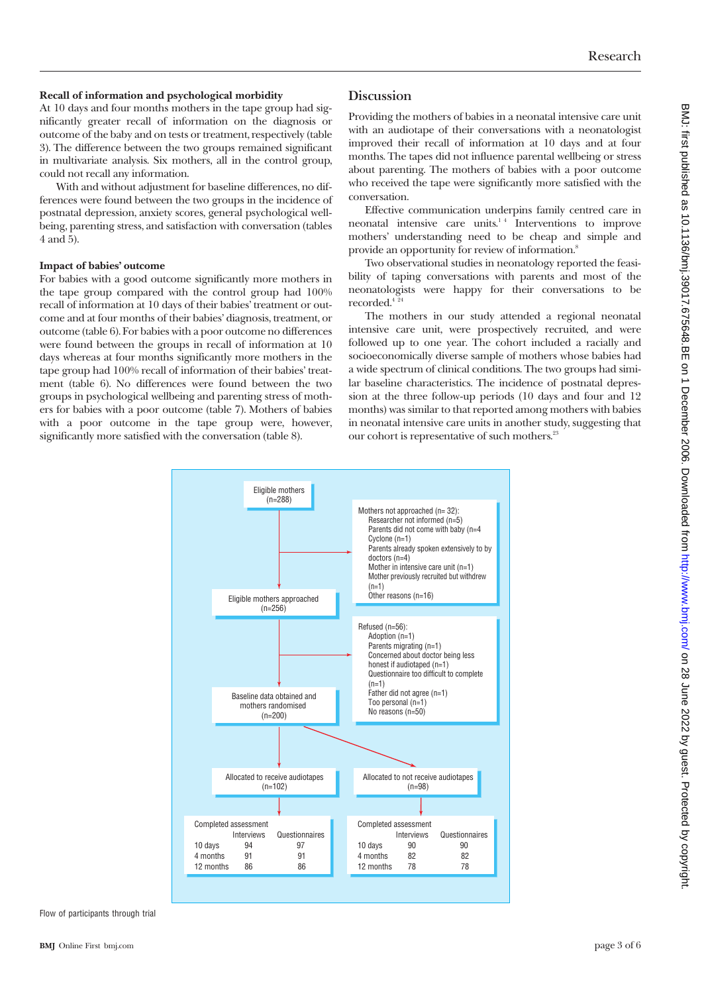#### **Recall of information and psychological morbidity**

At 10 days and four months mothers in the tape group had significantly greater recall of information on the diagnosis or outcome of the baby and on tests or treatment, respectively (table 3). The difference between the two groups remained significant in multivariate analysis. Six mothers, all in the control group, could not recall any information.

With and without adjustment for baseline differences, no differences were found between the two groups in the incidence of postnatal depression, anxiety scores, general psychological wellbeing, parenting stress, and satisfaction with conversation (tables 4 and 5).

#### **Impact of babies' outcome**

For babies with a good outcome significantly more mothers in the tape group compared with the control group had 100% recall of information at 10 days of their babies' treatment or outcome and at four months of their babies' diagnosis, treatment, or outcome (table 6). For babies with a poor outcome no differences were found between the groups in recall of information at 10 days whereas at four months significantly more mothers in the tape group had 100% recall of information of their babies' treatment (table 6). No differences were found between the two groups in psychological wellbeing and parenting stress of mothers for babies with a poor outcome (table 7). Mothers of babies with a poor outcome in the tape group were, however, significantly more satisfied with the conversation (table 8).

#### **Discussion**

Providing the mothers of babies in a neonatal intensive care unit with an audiotape of their conversations with a neonatologist improved their recall of information at 10 days and at four months. The tapes did not influence parental wellbeing or stress about parenting. The mothers of babies with a poor outcome who received the tape were significantly more satisfied with the conversation.

Effective communication underpins family centred care in neonatal intensive care units.<sup>14</sup> Interventions to improve mothers' understanding need to be cheap and simple and provide an opportunity for review of information.8

Two observational studies in neonatology reported the feasibility of taping conversations with parents and most of the neonatologists were happy for their conversations to be recorded.<sup>4</sup><sup>24</sup>

The mothers in our study attended a regional neonatal intensive care unit, were prospectively recruited, and were followed up to one year. The cohort included a racially and socioeconomically diverse sample of mothers whose babies had a wide spectrum of clinical conditions. The two groups had similar baseline characteristics. The incidence of postnatal depression at the three follow-up periods (10 days and four and 12 months) was similar to that reported among mothers with babies in neonatal intensive care units in another study, suggesting that our cohort is representative of such mothers.<sup>23</sup>



Flow of participants through trial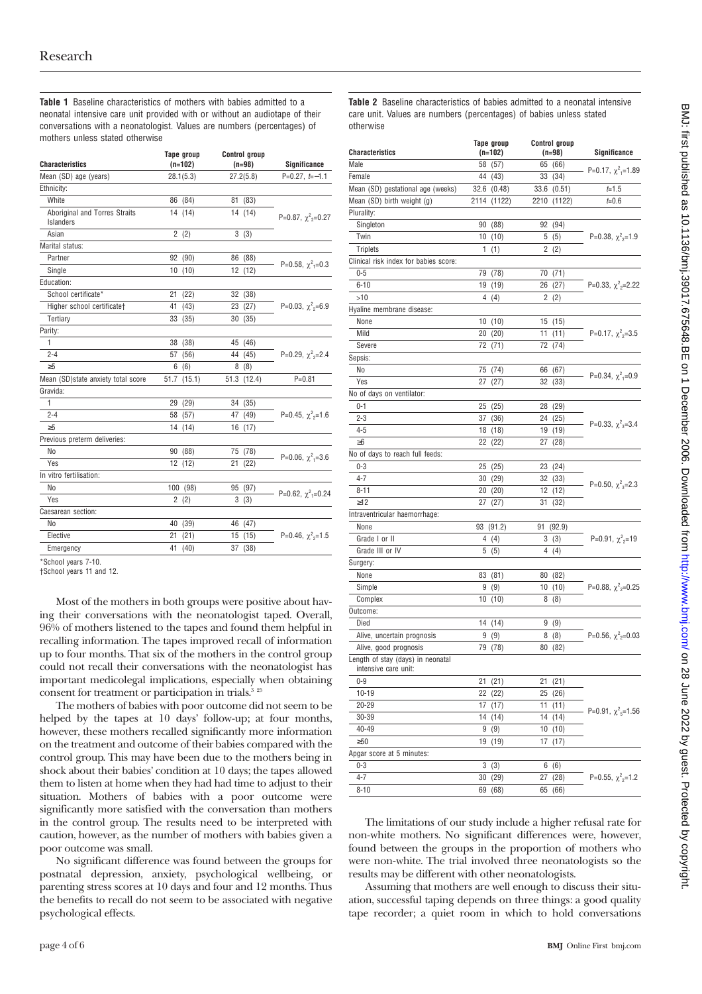**Table 1** Baseline characteristics of mothers with babies admitted to a neonatal intensive care unit provided with or without an audiotape of their conversations with a neonatologist. Values are numbers (percentages) of mothers unless stated otherwise

| <b>Characteristics</b>                     | Tape group<br>$(n=102)$ | <b>Control group</b><br>$(n=98)$ | Significance                        |
|--------------------------------------------|-------------------------|----------------------------------|-------------------------------------|
| Mean (SD) age (years)                      | 28.1(5.3)               | 27.2(5.8)                        | $P=0.27, t=-1.1$                    |
| Ethnicity:                                 |                         |                                  |                                     |
| White                                      | 86 (84)                 | 81<br>(83)                       |                                     |
| Aboriginal and Torres Straits<br>Islanders | 14 (14)                 | 14<br>(14)                       | P=0.87, $\chi^2$ <sub>2</sub> =0.27 |
| Asian                                      | 2(2)                    | 3(3)                             |                                     |
| Marital status:                            |                         |                                  |                                     |
| Partner                                    | 92 (90)                 | 86 (88)                          | P=0.58, $\chi^2$ <sub>1</sub> =0.3  |
| Single                                     | 10<br>(10)              | 12<br>(12)                       |                                     |
| Education:                                 |                         |                                  |                                     |
| School certificate*                        | 21<br>(22)              | 32<br>(38)                       |                                     |
| Higher school certificate†                 | 41<br>(43)              | (27)<br>23                       | P=0.03, $\chi^2$ <sub>2</sub> =6.9  |
| Tertiary                                   | 33<br>(35)              | 30<br>(35)                       |                                     |
| Parity:                                    |                         |                                  |                                     |
| 1                                          | 38<br>(38)              | 45<br>(46)                       |                                     |
| $2 - 4$                                    | (56)<br>57              | 44<br>(45)                       | P=0.29, $\chi^2$ <sub>2</sub> =2.4  |
| $\geq 5$                                   | 6<br>(6)                | (8)<br>8                         |                                     |
| Mean (SD)state anxiety total score         | 51.7<br>(15.1)          | 51.3<br>(12.4)                   | $P = 0.81$                          |
| Gravida:                                   |                         |                                  |                                     |
| 1                                          | (29)<br>29              | 34<br>(35)                       |                                     |
| $2 - 4$                                    | (57)<br>58              | (49)<br>47                       | P=0.45, $\chi^2$ <sub>2</sub> =1.6  |
| $\geq 5$                                   | 14<br>(14)              | (17)<br>16                       |                                     |
| Previous preterm deliveries:               |                         |                                  |                                     |
| No                                         | (88)<br>90              | 75<br>(78)                       | P=0.06, $\chi^2$ <sub>1</sub> =3.6  |
| Yes                                        | 12<br>(12)              | 21<br>(22)                       |                                     |
| In vitro fertilisation:                    |                         |                                  |                                     |
| No                                         | 100<br>(98)             | (97)<br>95                       | P=0.62, $\chi^2$ <sub>1</sub> =0.24 |
| Yes                                        | $\overline{2}$<br>(2)   | 3<br>(3)                         |                                     |
| Caesarean section:                         |                         |                                  |                                     |
| No                                         | 40<br>(39)              | 46<br>(47)                       |                                     |
| Elective                                   | (21)<br>21              | 15<br>(15)                       | P=0.46, $\chi^2$ <sub>2</sub> =1.5  |
| Emergency                                  | 41<br>(40)              | 37<br>(38)                       |                                     |
| $-0.1 - 1$<br>$-1$                         |                         |                                  |                                     |

School years 7-10.

†School years 11 and 12.

Most of the mothers in both groups were positive about having their conversations with the neonatologist taped. Overall, 96% of mothers listened to the tapes and found them helpful in recalling information. The tapes improved recall of information up to four months. That six of the mothers in the control group could not recall their conversations with the neonatologist has important medicolegal implications, especially when obtaining consent for treatment or participation in trials.<sup>3 25</sup>

The mothers of babies with poor outcome did not seem to be helped by the tapes at 10 days' follow-up; at four months, however, these mothers recalled significantly more information on the treatment and outcome of their babies compared with the control group. This may have been due to the mothers being in shock about their babies' condition at 10 days; the tapes allowed them to listen at home when they had had time to adjust to their situation. Mothers of babies with a poor outcome were significantly more satisfied with the conversation than mothers in the control group. The results need to be interpreted with caution, however, as the number of mothers with babies given a poor outcome was small.

No significant difference was found between the groups for postnatal depression, anxiety, psychological wellbeing, or parenting stress scores at 10 days and four and 12 months. Thus the benefits to recall do not seem to be associated with negative psychological effects.

**Table 2** Baseline characteristics of babies admitted to a neonatal intensive care unit. Values are numbers (percentages) of babies unless stated otherwise

|                                                           | Tape group  |      |    | <b>Control group</b> |                                     |
|-----------------------------------------------------------|-------------|------|----|----------------------|-------------------------------------|
| <b>Characteristics</b>                                    | (n=102)     |      |    | $(n=98)$             | Significance                        |
| Male                                                      | 58 (57)     |      |    | 65 (66)              | P=0.17, $\chi^2$ <sub>1</sub> =1.89 |
| Female                                                    | 44 (43)     |      |    | 33 (34)              |                                     |
| Mean (SD) gestational age (weeks)                         | 32.6 (0.48) |      |    | 33.6 (0.51)          | $t = 1.5$                           |
| Mean (SD) birth weight (g)                                | 2114 (1122) |      |    | 2210 (1122)          | $t = 0.6$                           |
| Plurality:                                                |             |      |    |                      |                                     |
| Singleton                                                 | 90 (88)     |      | 92 | (94)                 |                                     |
| Twin                                                      | 10(10)      |      |    | 5(5)                 | P=0.38, $\chi^2$ <sub>2</sub> =1.9  |
| <b>Triplets</b>                                           | 1(1)        |      |    | 2(2)                 |                                     |
| Clinical risk index for babies score:                     |             |      |    |                      |                                     |
| $0 - 5$                                                   | 79 (78)     |      |    | 70 (71)              |                                     |
| $6 - 10$                                                  | 19 (19)     |      |    | 26 (27)              | P=0.33, $\chi^2$ <sub>2</sub> =2.22 |
| >10                                                       | 4(4)        |      |    | 2(2)                 |                                     |
| Hyaline membrane disease:                                 |             |      |    |                      |                                     |
| None                                                      | 10(10)      |      |    | 15 (15)              |                                     |
| Mild                                                      | 20(20)      |      | 11 | (11)                 | P=0.17, $\chi^2$ <sub>2</sub> =3.5  |
| Severe                                                    | 72          | (71) | 72 | (74)                 |                                     |
| Sepsis:                                                   |             |      |    |                      |                                     |
| No                                                        | 75 (74)     |      |    | 66 (67)              |                                     |
| Yes                                                       | 27 (27)     |      |    | 32 (33)              | P=0.34, $\chi^2$ <sub>1</sub> =0.9  |
| No of days on ventilator:                                 |             |      |    |                      |                                     |
| $0 - 1$                                                   | 25 (25)     |      |    | 28 (29)              |                                     |
| $2 - 3$                                                   | 37          | (36) |    | 24 (25)              |                                     |
| $4 - 5$                                                   | 18 (18)     |      |    | 19 (19)              | P=0.33, $\chi^2$ <sub>3</sub> =3.4  |
| $\geq 6$                                                  | 22 (22)     |      | 27 | (28)                 |                                     |
| No of days to reach full feeds:                           |             |      |    |                      |                                     |
| $0 - 3$                                                   | 25 (25)     |      | 23 | (24)                 |                                     |
| $4 - 7$                                                   | 30 (29)     |      |    | 32 (33)              |                                     |
| $8 - 11$                                                  | 20 (20)     |      |    | 12 (12)              | P=0.50, $\chi^2$ <sub>3</sub> =2.3  |
| $\geq12$                                                  | 27 (27)     |      | 31 | (32)                 |                                     |
| Intraventricular haemorrhage:                             |             |      |    |                      |                                     |
| None                                                      | 93 (91.2)   |      | 91 | (92.9)               |                                     |
| Grade I or II                                             | 4(4)        |      |    | 3(3)                 | P=0.91, $\chi^2$ <sub>2</sub> =19   |
| Grade III or IV                                           | 5<br>(5)    |      |    | 4 (4)                |                                     |
| Surgery:                                                  |             |      |    |                      |                                     |
| None                                                      | 83 (81)     |      |    | 80 (82)              |                                     |
| Simple                                                    | 9(9)        |      |    | 10 (10)              | P=0.88, $\chi^2$ <sub>2</sub> =0.25 |
| Complex                                                   | 10(10)      |      |    | 8 (8)                |                                     |
| Outcome:                                                  |             |      |    |                      |                                     |
| Died                                                      |             |      | 9  |                      |                                     |
|                                                           | 14 (14)     |      |    | (9)                  | P=0.56, $\chi^2$ <sub>2</sub> =0.03 |
| Alive, uncertain prognosis                                | 9(9)        |      |    | 8(8)                 |                                     |
| Alive, good prognosis                                     | 79 (78)     |      | 80 | (82)                 |                                     |
| Length of stay (days) in neonatal<br>intensive care unit: |             |      |    |                      |                                     |
| $0-9$                                                     | 21 (21)     |      |    | 21 (21)              |                                     |
| $10 - 19$                                                 | 22 (22)     |      |    | 25 (26)              |                                     |
| $20 - 29$                                                 | 17 (17)     |      |    | 11(11)               |                                     |
| 30-39                                                     | 14 (14)     |      |    | 14 (14)              | P=0.91, $\chi^2$ <sub>5</sub> =1.56 |
| 40-49                                                     | 9(9)        |      |    | 10(10)               |                                     |
| $\geq 50$                                                 | 19 (19)     |      |    | 17 (17)              |                                     |
| Apgar score at 5 minutes:                                 |             |      |    |                      |                                     |
| $0 - 3$                                                   | 3(3)        |      |    | 6(6)                 |                                     |
| $4 - 7$                                                   | 30 (29)     |      |    | 27 (28)              | P=0.55, $\chi^2$ <sub>2</sub> =1.2  |
| $8 - 10$                                                  | 69 (68)     |      |    | 65 (66)              |                                     |

The limitations of our study include a higher refusal rate for non-white mothers. No significant differences were, however, found between the groups in the proportion of mothers who were non-white. The trial involved three neonatologists so the results may be different with other neonatologists.

Assuming that mothers are well enough to discuss their situation, successful taping depends on three things: a good quality tape recorder; a quiet room in which to hold conversations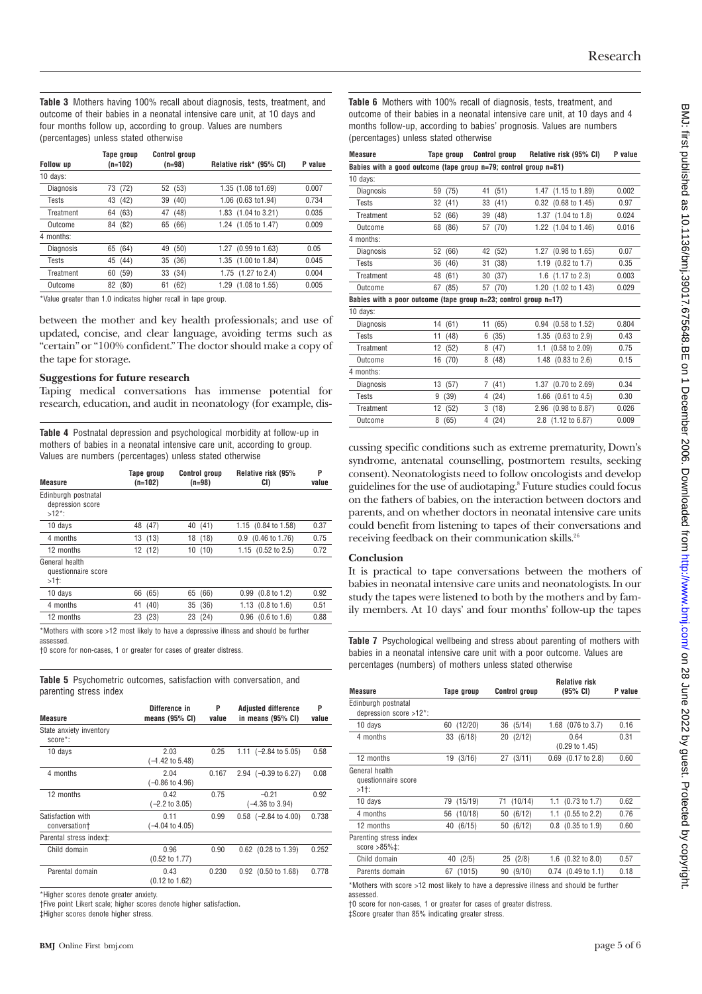**Table 3** Mothers having 100% recall about diagnosis, tests, treatment, and outcome of their babies in a neonatal intensive care unit, at 10 days and four months follow up, according to group. Values are numbers (percentages) unless stated otherwise

| <b>Follow</b> up | Tape group<br>$(n=102)$ | <b>Control group</b><br>$(n=98)$ | Relative risk* (95% CI) | P value |
|------------------|-------------------------|----------------------------------|-------------------------|---------|
| 10 days:         |                         |                                  |                         |         |
| Diagnosis        | 73 (72)                 | 52 (53)                          | 1.35 (1.08 to 1.69)     | 0.007   |
| Tests            | (42)<br>43              | (40)<br>39                       | 1.06 (0.63 to 1.94)     | 0.734   |
| Treatment        | (63)<br>64              | (48)<br>47                       | 1.83 (1.04 to 3.21)     | 0.035   |
| Outcome          | 84 (82)                 | 65 (66)                          | 1.24 (1.05 to 1.47)     | 0.009   |
| 4 months:        |                         |                                  |                         |         |
| <b>Diagnosis</b> | (64)<br>65              | (50)<br>49                       | 1.27 (0.99 to 1.63)     | 0.05    |
| Tests            | 45 (44)                 | 35 (36)                          | 1.35 (1.00 to 1.84)     | 0.045   |
| Treatment        | (59)<br>60              | 33 (34)                          | 1.75 (1.27 to 2.4)      | 0.004   |
| Outcome          | (80)<br>82              | (62)<br>61                       | 1.29 (1.08 to 1.55)     | 0.005   |

\*Value greater than 1.0 indicates higher recall in tape group.

between the mother and key health professionals; and use of updated, concise, and clear language, avoiding terms such as "certain" or "100% confident." The doctor should make a copy of the tape for storage.

#### **Suggestions for future research**

Taping medical conversations has immense potential for research, education, and audit in neonatology (for example, dis-

**Table 4** Postnatal depression and psychological morbidity at follow-up in mothers of babies in a neonatal intensive care unit, according to group. Values are numbers (percentages) unless stated otherwise

| <b>Measure</b>                                      | Tape group<br>(n=102) | <b>Control group</b><br>$(n=98)$ | Relative risk (95%<br>CI)      | P<br>value |
|-----------------------------------------------------|-----------------------|----------------------------------|--------------------------------|------------|
| Edinburgh postnatal<br>depression score<br>$>12$ *: |                       |                                  |                                |            |
| 10 days                                             | 48 (47)               | 40 (41)                          | 1.15 (0.84 to 1.58)            | 0.37       |
| 4 months                                            | 13(13)                | 18 (18)                          | 0.9 (0.46 to 1.76)             | 0.75       |
| 12 months                                           | 12 (12)               | 10(10)                           | 1.15 (0.52 to 2.5)             | 0.72       |
| General health<br>questionnaire score<br>>1†:       |                       |                                  |                                |            |
| 10 days                                             | (65)<br>66            | (66)<br>65                       | $0.99$ $(0.8 \text{ to } 1.2)$ | 0.92       |
| 4 months                                            | (40)<br>41            | (36)<br>35                       | 1.13 $(0.8 \text{ to } 1.6)$   | 0.51       |
| 12 months                                           | 23 (23)               | 23 (24)                          | $0.96$ $(0.6 \text{ to } 1.6)$ | 0.88       |

\*Mothers with score >12 most likely to have a depressive illness and should be further assessed.

†0 score for non-cases, 1 or greater for cases of greater distress.

**Table 5** Psychometric outcomes, satisfaction with conversation, and parenting stress index

| <b>Measure</b>                         | Difference in<br>means $(95%$ CI)  | P<br>value | <b>Adjusted difference</b><br>in means $(95% \text{ CI})$ | P<br>value |
|----------------------------------------|------------------------------------|------------|-----------------------------------------------------------|------------|
| State anxiety inventory<br>$score^*$ : |                                    |            |                                                           |            |
| 10 days                                | 2.03<br>$(-1.42 \text{ to } 5.48)$ | 0.25       | 1.11 $(-2.84 \text{ to } 5.05)$                           | 0.58       |
| 4 months                               | 2.04<br>$(-0.86 \text{ to } 4.96)$ | 0.167      | 2.94 $(-0.39 \text{ to } 6.27)$                           | 0.08       |
| 12 months                              | 0.42<br>$(-2.2 \text{ to } 3.05)$  | 0.75       | $-0.21$<br>$(-4.36 \text{ to } 3.94)$                     | 0.92       |
| Satisfaction with<br>conversation+     | 0.11<br>$(-4.04 \text{ to } 4.05)$ | 0.99       | $0.58$ $(-2.84 \text{ to } 4.00)$                         | 0.738      |
| Parental stress index±:                |                                    |            |                                                           |            |
| Child domain                           | 0.96<br>$(0.52 \text{ to } 1.77)$  | 0.90       | $0.62$ (0.28 to 1.39)                                     | 0.252      |
| Parental domain                        | 0.43<br>$(0.12 \text{ to } 1.62)$  | 0.230      | $0.92$ (0.50 to 1.68)                                     | 0.778      |
|                                        |                                    |            |                                                           |            |

\*Higher scores denote greater anxiety.

†Five point Likert scale; higher scores denote higher satisfaction**.** ‡Higher scores denote higher stress.

**Table 6** Mothers with 100% recall of diagnosis, tests, treatment, and outcome of their babies in a neonatal intensive care unit, at 10 days and 4 months follow-up, according to babies' prognosis. Values are numbers (percentages) unless stated otherwise

| <b>Measure</b>                                                   |    | Tape group |    | <b>Control group</b> |      | Relative risk (95% CI)          | P value |
|------------------------------------------------------------------|----|------------|----|----------------------|------|---------------------------------|---------|
| Babies with a good outcome (tape group n=79; control group n=81) |    |            |    |                      |      |                                 |         |
| 10 days:                                                         |    |            |    |                      |      |                                 |         |
| Diagnosis                                                        |    | 59 (75)    |    | 41 (51)              |      | 1.47 (1.15 to 1.89)             | 0.002   |
| Tests                                                            | 32 | (41)       | 33 | (41)                 |      | 0.32 (0.68 to 1.45)             | 0.97    |
| Treatment                                                        | 52 | (66)       | 39 | (48)                 |      | 1.37 (1.04 to 1.8)              | 0.024   |
| Outcome                                                          | 68 | (86)       | 57 | (70)                 |      | 1.22 (1.04 to 1.46)             | 0.016   |
| 4 months:                                                        |    |            |    |                      |      |                                 |         |
| Diagnosis                                                        | 52 | (66)       |    | 42 (52)              |      | 1.27 (0.98 to 1.65)             | 0.07    |
| Tests                                                            | 36 | (46)       | 31 | (38)                 |      | $1.19$ $(0.82 \text{ to } 1.7)$ | 0.35    |
| Treatment                                                        | 48 | (61)       | 30 | (37)                 |      | 1.6 (1.17 to 2.3)               | 0.003   |
| Outcome                                                          | 67 | (85)       | 57 | (70)                 |      | 1.20 (1.02 to 1.43)             | 0.029   |
| Babies with a poor outcome (tape group n=23; control group n=17) |    |            |    |                      |      |                                 |         |
| 10 days:                                                         |    |            |    |                      |      |                                 |         |
| Diagnosis                                                        | 14 | (61)       | 11 | (65)                 |      | $0.94$ (0.58 to 1.52)           | 0.804   |
| <b>Tests</b>                                                     | 11 | (48)       | 6  | (35)                 |      | 1.35 (0.63 to 2.9)              | 0.43    |
| Treatment                                                        | 12 | (52)       | 8  | (47)                 |      | 1.1 (0.58 to 2.09)              | 0.75    |
| Outcome                                                          | 16 | (70)       | 8  | (48)                 |      | 1.48 (0.83 to 2.6)              | 0.15    |
| 4 months:                                                        |    |            |    |                      |      |                                 |         |
| Diagnosis                                                        | 13 | (57)       | 7  | (41)                 | 1.37 | $(0.70 \text{ to } 2.69)$       | 0.34    |
| <b>Tests</b>                                                     | 9  | (39)       | 4  | (24)                 |      | 1.66 (0.61 to 4.5)              | 0.30    |
| Treatment                                                        | 12 | (52)       | 3  | (18)                 |      | 2.96 (0.98 to 8.87)             | 0.026   |
| Outcome                                                          | 8  | (65)       | 4  | (24)                 |      | 2.8 (1.12 to 6.87)              | 0.009   |
|                                                                  |    |            |    |                      |      |                                 |         |

cussing specific conditions such as extreme prematurity, Down's syndrome, antenatal counselling, postmortem results, seeking consent). Neonatologists need to follow oncologists and develop guidelines for the use of audiotaping.8 Future studies could focus on the fathers of babies, on the interaction between doctors and parents, and on whether doctors in neonatal intensive care units could benefit from listening to tapes of their conversations and receiving feedback on their communication skills.<sup>26</sup>

#### **Conclusion**

It is practical to tape conversations between the mothers of babies in neonatal intensive care units and neonatologists. In our study the tapes were listened to both by the mothers and by family members. At 10 days' and four months' follow-up the tapes

**Table 7** Psychological wellbeing and stress about parenting of mothers with babies in a neonatal intensive care unit with a poor outcome. Values are percentages (numbers) of mothers unless stated otherwise

| <b>Measure</b>                                  | Tape group    | <b>Control group</b> | <b>Relative risk</b><br>(95% CI)  | P value |
|-------------------------------------------------|---------------|----------------------|-----------------------------------|---------|
| Edinburgh postnatal<br>depression score >12*:   |               |                      |                                   |         |
| 10 days                                         | (12/20)<br>60 | 36 (5/14)            | 1.68 (076 to 3.7)                 | 0.16    |
| 4 months                                        | 33 (6/18)     | 20 (2/12)            | 0.64<br>$(0.29 \text{ to } 1.45)$ | 0.31    |
| 12 months                                       | 19 (3/16)     | 27 (3/11)            | $0.69$ $(0.17 \text{ to } 2.8)$   | 0.60    |
| General health<br>questionnaire score<br>>1†:   |               |                      |                                   |         |
| 10 days                                         | 79<br>(15/19) | (10/14)<br>71        | 1.1 $(0.73 \text{ to } 1.7)$      | 0.62    |
| 4 months                                        | (10/18)<br>56 | 50 (6/12)            | 1.1 $(0.55 \text{ to } 2.2)$      | 0.76    |
| 12 months                                       | 40 (6/15)     | 50 (6/12)            | $0.8$ $(0.35 \text{ to } 1.9)$    | 0.60    |
| Parenting stress index<br>score $>85\%$ $\pm$ : |               |                      |                                   |         |
| Child domain                                    | (2/5)<br>40   | 25(2/8)              | 1.6 $(0.32 \text{ to } 8.0)$      | 0.57    |
| Parents domain                                  | (1015)<br>67  | 90(9/10)             | $0.74$ $(0.49 \text{ to } 1.1)$   | 0.18    |

\*Mothers with score >12 most likely to have a depressive illness and should be further assessed.

†0 score for non-cases, 1 or greater for cases of greater distress.

‡Score greater than 85% indicating greater stress.